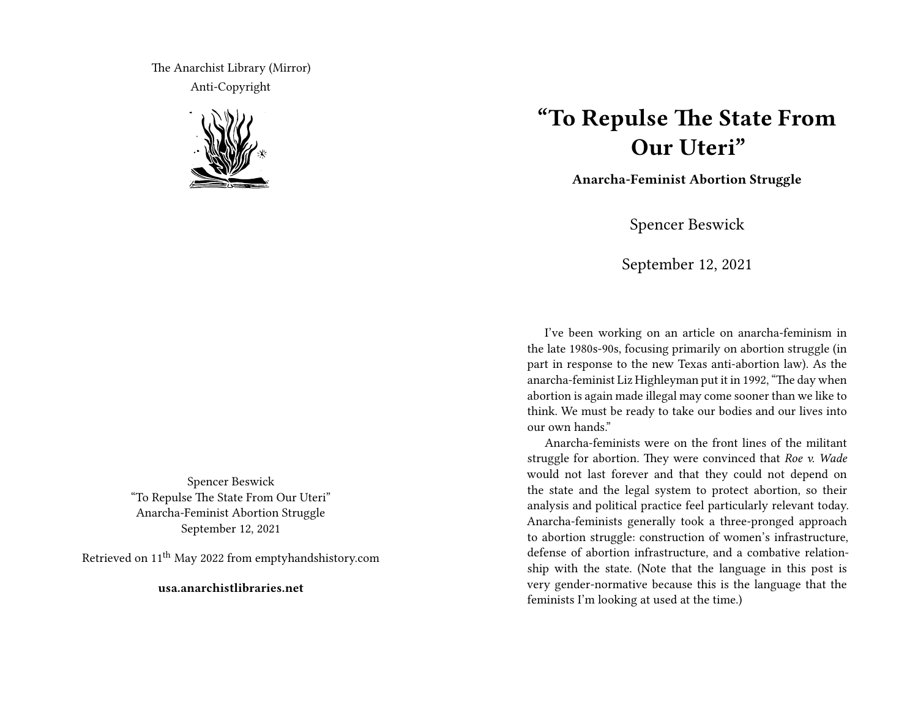The Anarchist Library (Mirror) Anti-Copyright



Spencer Beswick "To Repulse The State From Our Uteri" Anarcha-Feminist Abortion Struggle September 12, 2021

Retrieved on 11th May 2022 from emptyhandshistory.com

**usa.anarchistlibraries.net**

## **"To Repulse The State From Our Uteri"**

**Anarcha-Feminist Abortion Struggle**

Spencer Beswick

September 12, 2021

I've been working on an article on anarcha-feminism in the late 1980s-90s, focusing primarily on abortion struggle (in part in response to the new Texas anti-abortion law). As the anarcha-feminist Liz Highleyman put it in 1992, "The day when abortion is again made illegal may come sooner than we like to think. We must be ready to take our bodies and our lives into our own hands."

Anarcha-feminists were on the front lines of the militant struggle for abortion. They were convinced that *Roe v. Wade* would not last forever and that they could not depend on the state and the legal system to protect abortion, so their analysis and political practice feel particularly relevant today. Anarcha-feminists generally took a three-pronged approach to abortion struggle: construction of women's infrastructure, defense of abortion infrastructure, and a combative relationship with the state. (Note that the language in this post is very gender-normative because this is the language that the feminists I'm looking at used at the time.)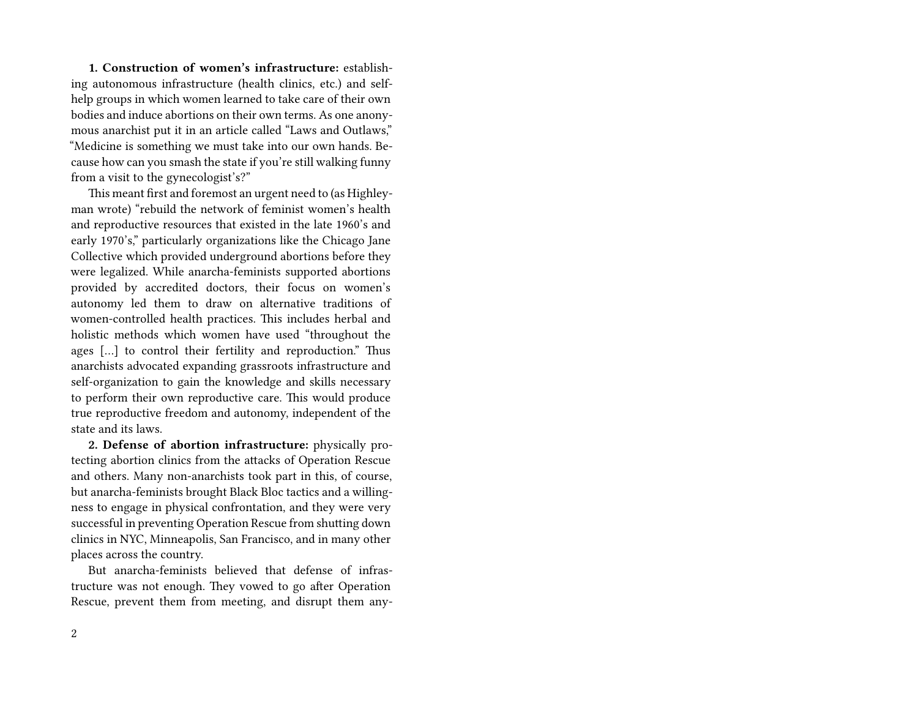**1. Construction of women's infrastructure:** establishing autonomous infrastructure (health clinics, etc.) and selfhelp groups in which women learned to take care of their own bodies and induce abortions on their own terms. As one anonymous anarchist put it in an article called "Laws and Outlaws," "Medicine is something we must take into our own hands. Because how can you smash the state if you're still walking funny from a visit to the gynecologist's?"

This meant first and foremost an urgent need to (as Highleyman wrote) "rebuild the network of feminist women's health and reproductive resources that existed in the late 1960's and early 1970's," particularly organizations like the Chicago Jane Collective which provided underground abortions before they were legalized. While anarcha-feminists supported abortions provided by accredited doctors, their focus on women's autonomy led them to draw on alternative traditions of women-controlled health practices. This includes herbal and holistic methods which women have used "throughout the ages […] to control their fertility and reproduction." Thus anarchists advocated expanding grassroots infrastructure and self-organization to gain the knowledge and skills necessary to perform their own reproductive care. This would produce true reproductive freedom and autonomy, independent of the state and its laws.

**2. Defense of abortion infrastructure:** physically protecting abortion clinics from the attacks of Operation Rescue and others. Many non-anarchists took part in this, of course, but anarcha-feminists brought Black Bloc tactics and a willingness to engage in physical confrontation, and they were very successful in preventing Operation Rescue from shutting down clinics in NYC, Minneapolis, San Francisco, and in many other places across the country.

But anarcha-feminists believed that defense of infrastructure was not enough. They vowed to go after Operation Rescue, prevent them from meeting, and disrupt them any-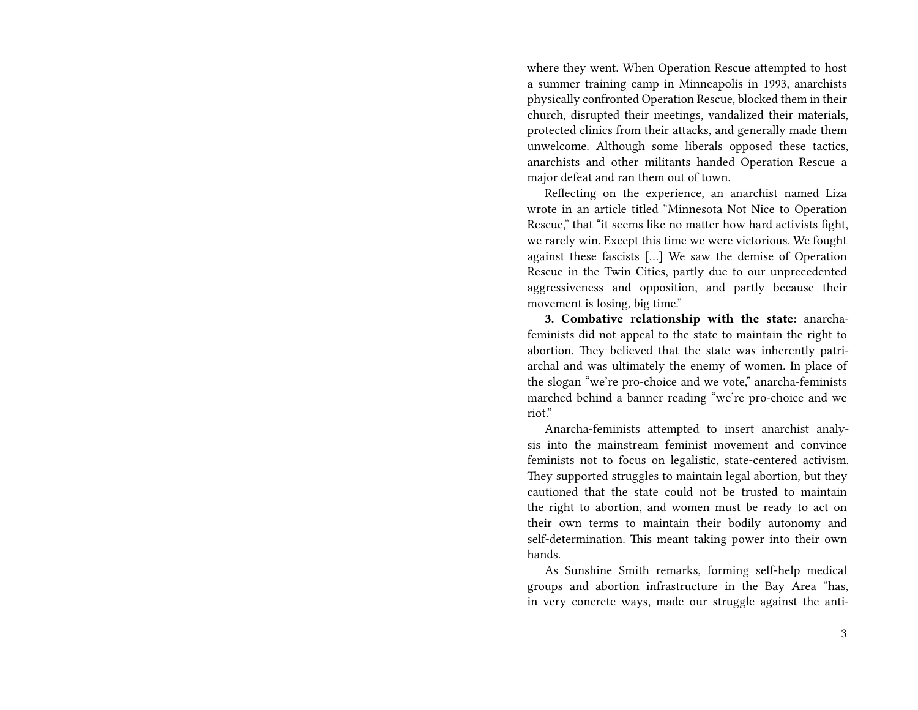where they went. When Operation Rescue attempted to host a summer training camp in Minneapolis in 1993, anarchists physically confronted Operation Rescue, blocked them in their church, disrupted their meetings, vandalized their materials, protected clinics from their attacks, and generally made them unwelcome. Although some liberals opposed these tactics, anarchists and other militants handed Operation Rescue a major defeat and ran them out of town.

Reflecting on the experience, an anarchist named Liza wrote in an article titled "Minnesota Not Nice to Operation Rescue," that "it seems like no matter how hard activists fight, we rarely win. Except this time we were victorious. We fought against these fascists […] We saw the demise of Operation Rescue in the Twin Cities, partly due to our unprecedented aggressiveness and opposition, and partly because their movement is losing, big time."

**3. Combative relationship with the state:** anarchafeminists did not appeal to the state to maintain the right to abortion. They believed that the state was inherently patriarchal and was ultimately the enemy of women. In place of the slogan "we're pro-choice and we vote," anarcha-feminists marched behind a banner reading "we're pro-choice and we riot."

Anarcha-feminists attempted to insert anarchist analysis into the mainstream feminist movement and convince feminists not to focus on legalistic, state-centered activism. They supported struggles to maintain legal abortion, but they cautioned that the state could not be trusted to maintain the right to abortion, and women must be ready to act on their own terms to maintain their bodily autonomy and self-determination. This meant taking power into their own hands.

As Sunshine Smith remarks, forming self-help medical groups and abortion infrastructure in the Bay Area "has, in very concrete ways, made our struggle against the anti